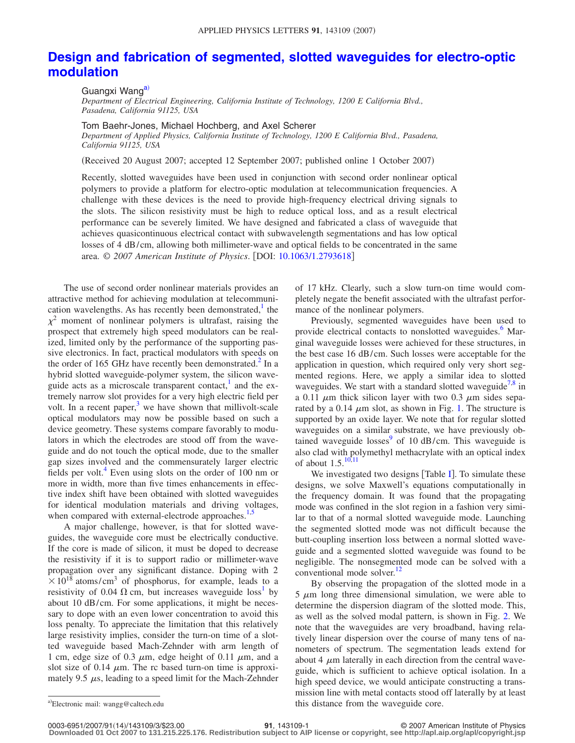## **[Design and fabrication of segmented, slotted waveguides for electro-optic](http://dx.doi.org/10.1063/1.2793618) [modulation](http://dx.doi.org/10.1063/1.2793618)**

Guangxi Wang<sup>a)</sup>

*Department of Electrical Engineering, California Institute of Technology, 1200 E California Blvd., Pasadena, California 91125, USA*

Tom Baehr-Jones, Michael Hochberg, and Axel Scherer

*Department of Applied Physics, California Institute of Technology, 1200 E California Blvd., Pasadena, California 91125, USA*

Received 20 August 2007; accepted 12 September 2007; published online 1 October 2007-

Recently, slotted waveguides have been used in conjunction with second order nonlinear optical polymers to provide a platform for electro-optic modulation at telecommunication frequencies. A challenge with these devices is the need to provide high-frequency electrical driving signals to the slots. The silicon resistivity must be high to reduce optical loss, and as a result electrical performance can be severely limited. We have designed and fabricated a class of waveguide that achieves quasicontinuous electrical contact with subwavelength segmentations and has low optical losses of 4 dB/cm, allowing both millimeter-wave and optical fields to be concentrated in the same area. © 2007 American Institute of Physics. [DOI: [10.1063/1.2793618](http://dx.doi.org/10.1063/1.2793618)]

The use of second order nonlinear materials provides an attractive method for achieving modulation at telecommunication wavelengths. As has recently been demonstrated, $\frac{1}{1}$  the  $\chi^2$  moment of nonlinear polymers is ultrafast, raising the prospect that extremely high speed modulators can be realized, limited only by the performance of the supporting passive electronics. In fact, practical modulators with speeds on the order of 165 GHz have recently been demonstrated.<sup>2</sup> In a hybrid slotted waveguide-polymer system, the silicon waveguide acts as a microscale transparent contact, $\frac{1}{1}$  and the extremely narrow slot provides for a very high electric field per volt. In a recent paper, $3$  we have shown that millivolt-scale optical modulators may now be possible based on such a device geometry. These systems compare favorably to modulators in which the electrodes are stood off from the waveguide and do not touch the optical mode, due to the smaller gap sizes involved and the commensurately larger electric fields per volt. $4$  Even using slots on the order of 100 nm or more in width, more than five times enhancements in effective index shift have been obtained with slotted waveguides for identical modulation materials and driving voltages, when compared with external-electrode approaches.<sup>1,[5](#page-2-4)</sup>

A major challenge, however, is that for slotted waveguides, the waveguide core must be electrically conductive. If the core is made of silicon, it must be doped to decrease the resistivity if it is to support radio or millimeter-wave propagation over any significant distance. Doping with 2  $\times$  10<sup>18</sup> atoms/cm<sup>3</sup> of phosphorus, for example, leads to a resistivity of 0.04  $\Omega$  cm, but increases waveguide loss<sup>1</sup> by about 10 dB/cm. For some applications, it might be necessary to dope with an even lower concentration to avoid this loss penalty. To appreciate the limitation that this relatively large resistivity implies, consider the turn-on time of a slotted waveguide based Mach-Zehnder with arm length of 1 cm, edge size of 0.3  $\mu$ m, edge height of 0.11  $\mu$ m, and a slot size of 0.14  $\mu$ m. The rc based turn-on time is approximately 9.5  $\mu$ s, leading to a speed limit for the Mach-Zehnder of 17 kHz. Clearly, such a slow turn-on time would completely negate the benefit associated with the ultrafast performance of the nonlinear polymers.

Previously, segmented waveguides have been used to provide electrical contacts to nonslotted waveguides.<sup>6</sup> Marginal waveguide losses were achieved for these structures, in the best case 16 dB/cm. Such losses were acceptable for the application in question, which required only very short segmented regions. Here, we apply a similar idea to slotted waveguides. We start with a standard slotted waveguide<sup>7,[8](#page-2-7)</sup> in a 0.11  $\mu$ m thick silicon layer with two 0.3  $\mu$ m sides separated by a 0.14  $\mu$ m slot, as shown in Fig. [1.](#page-1-0) The structure is supported by an oxide layer. We note that for regular slotted waveguides on a similar substrate, we have previously obtained waveguide losses $9$  of 10 dB/cm. This waveguide is also clad with polymethyl methacrylate with an optical index of about  $1.5^{10,11}$  $1.5^{10,11}$  $1.5^{10,11}$ 

We investigated two designs [Table  $I$ ]. To simulate these designs, we solve Maxwell's equations computationally in the frequency domain. It was found that the propagating mode was confined in the slot region in a fashion very similar to that of a normal slotted waveguide mode. Launching the segmented slotted mode was not difficult because the butt-coupling insertion loss between a normal slotted waveguide and a segmented slotted waveguide was found to be negligible. The nonsegmented mode can be solved with a conventional mode solver. $12$ 

By observing the propagation of the slotted mode in a  $5 \mu m$  long three dimensional simulation, we were able to determine the dispersion diagram of the slotted mode. This, as well as the solved modal pattern, is shown in Fig. [2.](#page-1-2) We note that the waveguides are very broadband, having relatively linear dispersion over the course of many tens of nanometers of spectrum. The segmentation leads extend for about 4  $\mu$ m laterally in each direction from the central waveguide, which is sufficient to achieve optical isolation. In a high speed device, we would anticipate constructing a transmission line with metal contacts stood off laterally by at least this distance from the waveguide core.

<span id="page-0-0"></span>Electronic mail: wangg@caltech.edu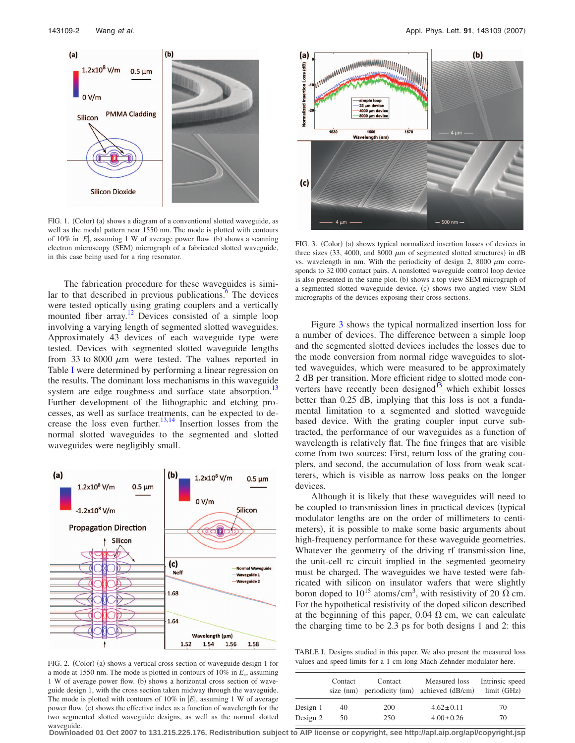<span id="page-1-0"></span>

FIG. 1. (Color) (a) shows a diagram of a conventional slotted waveguide, as well as the modal pattern near 1550 nm. The mode is plotted with contours of 10% in  $|E|$ , assuming 1 W of average power flow. (b) shows a scanning electron microscopy (SEM) micrograph of a fabricated slotted waveguide, in this case being used for a ring resonator.

The fabrication procedure for these waveguides is similar to that described in previous publications. $6$  The devices were tested optically using grating couplers and a vertically mounted fiber array.<sup>12</sup> Devices consisted of a simple loop involving a varying length of segmented slotted waveguides. Approximately 43 devices of each waveguide type were tested. Devices with segmented slotted waveguide lengths from 33 to 8000  $\mu$ m were tested. The values reported in Table [I](#page-1-1) were determined by performing a linear regression on the results. The dominant loss mechanisms in this waveguide system are edge roughness and surface state absorption.<sup>1</sup> Further development of the lithographic and etching processes, as well as surface treatments, can be expected to de-crease the loss even further.<sup>13,[14](#page-2-13)</sup> Insertion losses from the normal slotted waveguides to the segmented and slotted waveguides were negligibly small.

<span id="page-1-2"></span>

FIG. 2. (Color) (a) shows a vertical cross section of waveguide design 1 for a mode at 1550 nm. The mode is plotted in contours of 10% in *Ex*, assuming 1 W of average power flow. (b) shows a horizontal cross section of waveguide design 1, with the cross section taken midway through the waveguide. The mode is plotted with contours of 10% in  $|E|$ , assuming 1 W of average power flow. (c) shows the effective index as a function of wavelength for the two segmented slotted waveguide designs, as well as the normal slotted waveguide.

<span id="page-1-3"></span>

FIG. 3. (Color) (a) shows typical normalized insertion losses of devices in three sizes  $(33, 4000,$  and  $8000 \mu m$  of segmented slotted structures) in dB vs. wavelength in nm. With the periodicity of design 2, 8000  $\mu$ m corresponds to 32 000 contact pairs. A nonslotted waveguide control loop device is also presented in the same plot. (b) shows a top view SEM micrograph of a segmented slotted waveguide device. (c) shows two angled view SEM micrographs of the devices exposing their cross-sections.

Figure [3](#page-1-3) shows the typical normalized insertion loss for a number of devices. The difference between a simple loop and the segmented slotted devices includes the losses due to the mode conversion from normal ridge waveguides to slotted waveguides, which were measured to be approximately 2 dB per transition. More efficient ridge to slotted mode converters have recently been designed $15$  which exhibit losses better than 0.25 dB, implying that this loss is not a fundamental limitation to a segmented and slotted waveguide based device. With the grating coupler input curve subtracted, the performance of our waveguides as a function of wavelength is relatively flat. The fine fringes that are visible come from two sources: First, return loss of the grating couplers, and second, the accumulation of loss from weak scatterers, which is visible as narrow loss peaks on the longer devices.

Although it is likely that these waveguides will need to be coupled to transmission lines in practical devices (typical modulator lengths are on the order of millimeters to centimeters), it is possible to make some basic arguments about high-frequency performance for these waveguide geometries. Whatever the geometry of the driving rf transmission line, the unit-cell rc circuit implied in the segmented geometry must be charged. The waveguides we have tested were fabricated with silicon on insulator wafers that were slightly boron doped to  $10^{15}$  atoms/cm<sup>3</sup>, with resistivity of 20  $\Omega$  cm. For the hypothetical resistivity of the doped silicon described at the beginning of this paper, 0.04  $\Omega$  cm, we can calculate the charging time to be 2.3 ps for both designs 1 and 2: this

<span id="page-1-1"></span>TABLE I. Designs studied in this paper. We also present the measured loss values and speed limits for a 1 cm long Mach-Zehnder modulator here.

|          | Contact | Contact | Measured loss<br>size (nm) periodicity (nm) achieved (dB/cm) | Intrinsic speed<br>limit (GHz) |
|----------|---------|---------|--------------------------------------------------------------|--------------------------------|
| Design 1 | 40      | 200     | $4.62 \pm 0.11$                                              | 70                             |
| Design 2 | 50      | 250     | $4.00 \pm 0.26$                                              | 70                             |

**Downloaded 01 Oct 2007 to 131.215.225.176. Redistribution subject to AIP license or copyright, see http://apl.aip.org/apl/copyright.jsp**